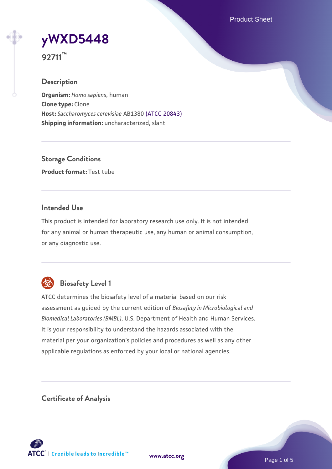Product Sheet

**[yWXD5448](https://www.atcc.org/products/92711)**

**92711™**

## **Description**

**Organism:** *Homo sapiens*, human **Clone type:** Clone **Host:** *Saccharomyces cerevisiae* AB1380 [\(ATCC 20843\)](https://www.atcc.org/products/20843) **Shipping information:** uncharacterized, slant

**Storage Conditions Product format:** Test tube

## **Intended Use**

This product is intended for laboratory research use only. It is not intended for any animal or human therapeutic use, any human or animal consumption, or any diagnostic use.



## **Biosafety Level 1**

ATCC determines the biosafety level of a material based on our risk assessment as guided by the current edition of *Biosafety in Microbiological and Biomedical Laboratories (BMBL)*, U.S. Department of Health and Human Services. It is your responsibility to understand the hazards associated with the material per your organization's policies and procedures as well as any other applicable regulations as enforced by your local or national agencies.

**Certificate of Analysis**

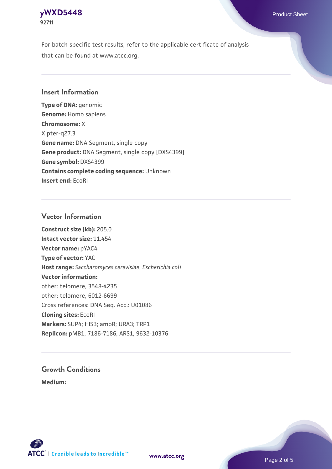## **[yWXD5448](https://www.atcc.org/products/92711)** Product Sheet **92711**

For batch-specific test results, refer to the applicable certificate of analysis that can be found at www.atcc.org.

## **Insert Information**

**Type of DNA:** genomic **Genome:** Homo sapiens **Chromosome:** X X pter-q27.3 **Gene name:** DNA Segment, single copy **Gene product:** DNA Segment, single copy [DXS4399] **Gene symbol:** DXS4399 **Contains complete coding sequence:** Unknown **Insert end:** EcoRI

## **Vector Information**

**Construct size (kb):** 205.0 **Intact vector size:** 11.454 **Vector name:** pYAC4 **Type of vector:** YAC **Host range:** *Saccharomyces cerevisiae*; *Escherichia coli* **Vector information:** other: telomere, 3548-4235 other: telomere, 6012-6699 Cross references: DNA Seq. Acc.: U01086 **Cloning sites:** EcoRI **Markers:** SUP4; HIS3; ampR; URA3; TRP1 **Replicon:** pMB1, 7186-7186; ARS1, 9632-10376

# **Growth Conditions**

**Medium:** 



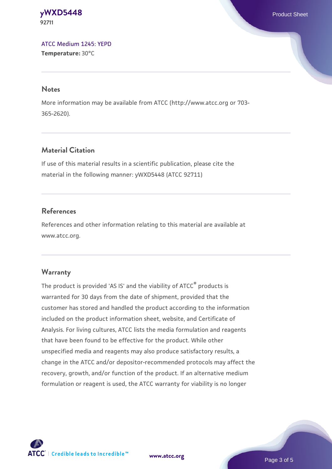#### **[yWXD5448](https://www.atcc.org/products/92711)** Product Sheet **92711**

[ATCC Medium 1245: YEPD](https://www.atcc.org/-/media/product-assets/documents/microbial-media-formulations/1/2/4/5/atcc-medium-1245.pdf?rev=705ca55d1b6f490a808a965d5c072196) **Temperature:** 30°C

#### **Notes**

More information may be available from ATCC (http://www.atcc.org or 703- 365-2620).

## **Material Citation**

If use of this material results in a scientific publication, please cite the material in the following manner: yWXD5448 (ATCC 92711)

## **References**

References and other information relating to this material are available at www.atcc.org.

## **Warranty**

The product is provided 'AS IS' and the viability of ATCC® products is warranted for 30 days from the date of shipment, provided that the customer has stored and handled the product according to the information included on the product information sheet, website, and Certificate of Analysis. For living cultures, ATCC lists the media formulation and reagents that have been found to be effective for the product. While other unspecified media and reagents may also produce satisfactory results, a change in the ATCC and/or depositor-recommended protocols may affect the recovery, growth, and/or function of the product. If an alternative medium formulation or reagent is used, the ATCC warranty for viability is no longer

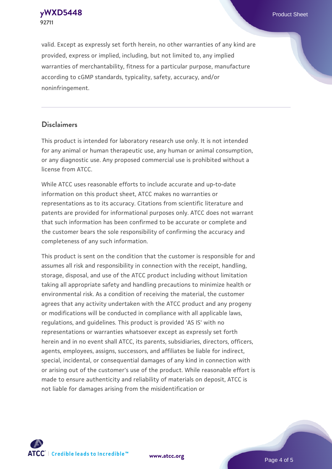**92711**

**[yWXD5448](https://www.atcc.org/products/92711)** Product Sheet

valid. Except as expressly set forth herein, no other warranties of any kind are provided, express or implied, including, but not limited to, any implied warranties of merchantability, fitness for a particular purpose, manufacture according to cGMP standards, typicality, safety, accuracy, and/or noninfringement.

#### **Disclaimers**

This product is intended for laboratory research use only. It is not intended for any animal or human therapeutic use, any human or animal consumption, or any diagnostic use. Any proposed commercial use is prohibited without a license from ATCC.

While ATCC uses reasonable efforts to include accurate and up-to-date information on this product sheet, ATCC makes no warranties or representations as to its accuracy. Citations from scientific literature and patents are provided for informational purposes only. ATCC does not warrant that such information has been confirmed to be accurate or complete and the customer bears the sole responsibility of confirming the accuracy and completeness of any such information.

This product is sent on the condition that the customer is responsible for and assumes all risk and responsibility in connection with the receipt, handling, storage, disposal, and use of the ATCC product including without limitation taking all appropriate safety and handling precautions to minimize health or environmental risk. As a condition of receiving the material, the customer agrees that any activity undertaken with the ATCC product and any progeny or modifications will be conducted in compliance with all applicable laws, regulations, and guidelines. This product is provided 'AS IS' with no representations or warranties whatsoever except as expressly set forth herein and in no event shall ATCC, its parents, subsidiaries, directors, officers, agents, employees, assigns, successors, and affiliates be liable for indirect, special, incidental, or consequential damages of any kind in connection with or arising out of the customer's use of the product. While reasonable effort is made to ensure authenticity and reliability of materials on deposit, ATCC is not liable for damages arising from the misidentification or



**[www.atcc.org](http://www.atcc.org)**

Page 4 of 5